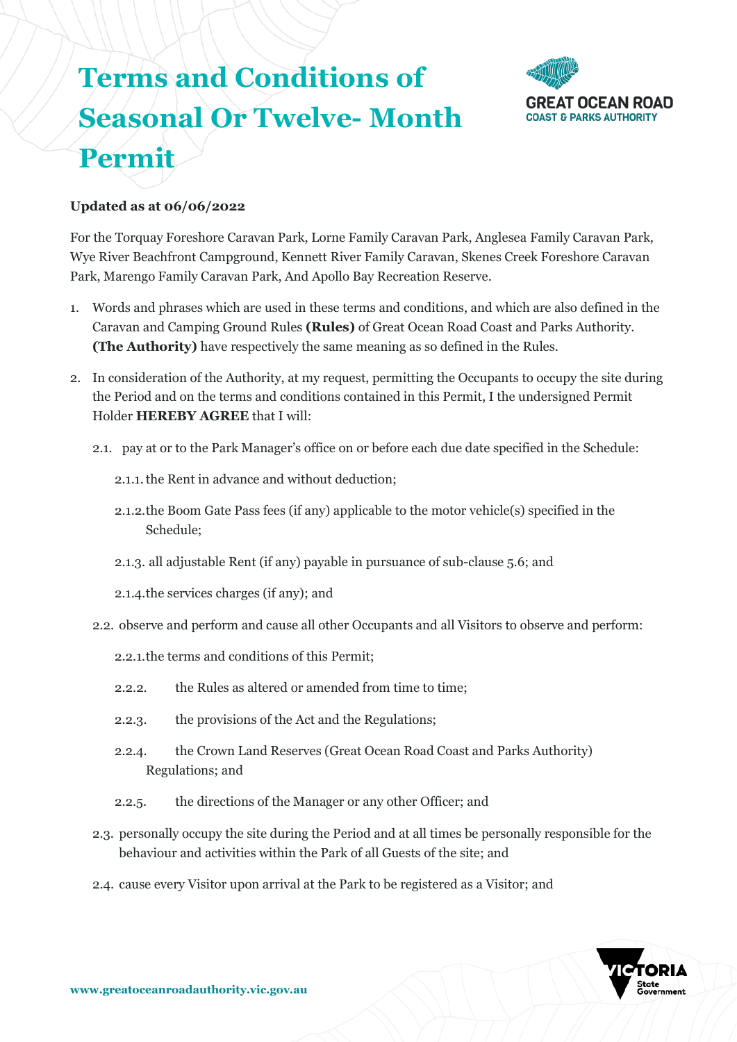# **Terms and Conditions of Seasonal Or Twelve- Month Permit**



# **Updated as at 06/06/2022**

For the Torquay Foreshore Caravan Park, Lorne Family Caravan Park, Anglesea Family Caravan Park, Wye River Beachfront Campground, Kennett River Family Caravan, Skenes Creek Foreshore Caravan Park, Marengo Family Caravan Park, And Apollo Bay Recreation Reserve.

- 1. Words and phrases which are used in these terms and conditions, and which are also defined in the Caravan and Camping Ground Rules **(Rules)** of Great Ocean Road Coast and Parks Authority. **(The Authority)** have respectively the same meaning as so defined in the Rules.
- 2. In consideration of the Authority, at my request, permitting the Occupants to occupy the site during the Period and on the terms and conditions contained in this Permit, I the undersigned Permit Holder **HEREBY AGREE** that I will:
	- 2.1. pay at or to the Park Manager's office on or before each due date specified in the Schedule:
		- 2.1.1.the Rent in advance and without deduction;
		- 2.1.2.the Boom Gate Pass fees (if any) applicable to the motor vehicle(s) specified in the Schedule;
		- 2.1.3. all adjustable Rent (if any) payable in pursuance of sub-clause 5.6; and
		- 2.1.4.the services charges (if any); and
	- 2.2. observe and perform and cause all other Occupants and all Visitors to observe and perform:
		- 2.2.1.the terms and conditions of this Permit;
		- 2.2.2. the Rules as altered or amended from time to time;
		- 2.2.3. the provisions of the Act and the Regulations;
		- 2.2.4. the Crown Land Reserves (Great Ocean Road Coast and Parks Authority) Regulations; and
		- 2.2.5. the directions of the Manager or any other Officer; and
	- 2.3. personally occupy the site during the Period and at all times be personally responsible for the behaviour and activities within the Park of all Guests of the site; and
	- 2.4. cause every Visitor upon arrival at the Park to be registered as a Visitor; and

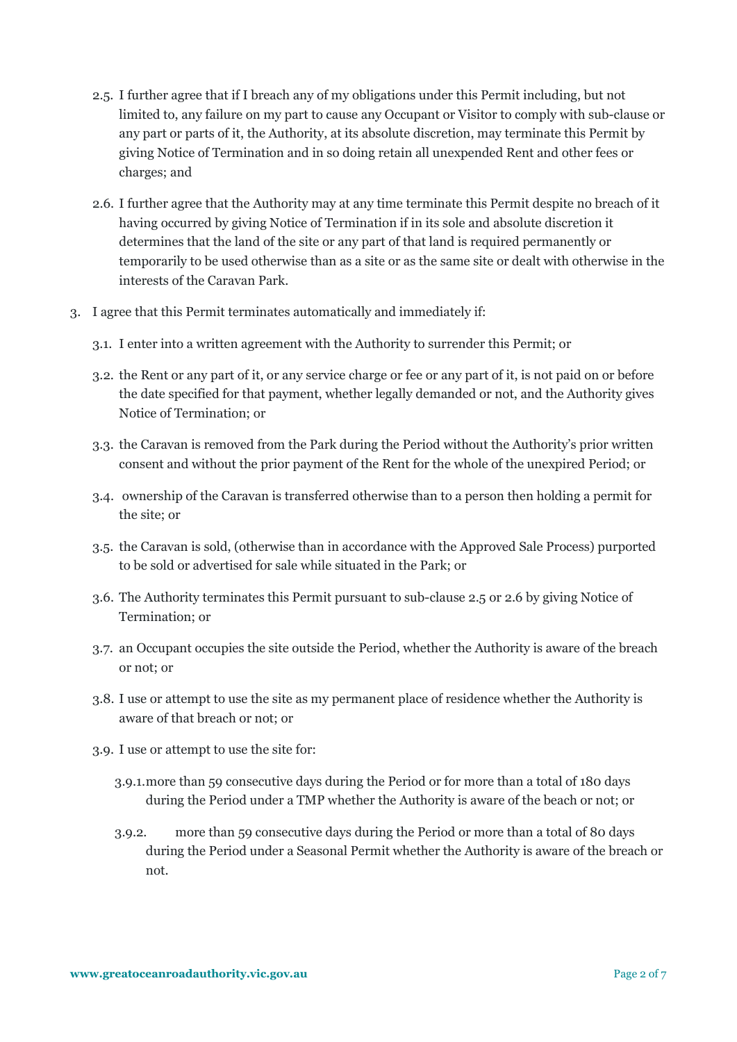- 2.5. I further agree that if I breach any of my obligations under this Permit including, but not limited to, any failure on my part to cause any Occupant or Visitor to comply with sub-clause or any part or parts of it, the Authority, at its absolute discretion, may terminate this Permit by giving Notice of Termination and in so doing retain all unexpended Rent and other fees or charges; and
- 2.6. I further agree that the Authority may at any time terminate this Permit despite no breach of it having occurred by giving Notice of Termination if in its sole and absolute discretion it determines that the land of the site or any part of that land is required permanently or temporarily to be used otherwise than as a site or as the same site or dealt with otherwise in the interests of the Caravan Park.
- 3. I agree that this Permit terminates automatically and immediately if:
	- 3.1. I enter into a written agreement with the Authority to surrender this Permit; or
	- 3.2. the Rent or any part of it, or any service charge or fee or any part of it, is not paid on or before the date specified for that payment, whether legally demanded or not, and the Authority gives Notice of Termination; or
	- 3.3. the Caravan is removed from the Park during the Period without the Authority's prior written consent and without the prior payment of the Rent for the whole of the unexpired Period; or
	- 3.4. ownership of the Caravan is transferred otherwise than to a person then holding a permit for the site; or
	- 3.5. the Caravan is sold, (otherwise than in accordance with the Approved Sale Process) purported to be sold or advertised for sale while situated in the Park; or
	- 3.6. The Authority terminates this Permit pursuant to sub-clause 2.5 or 2.6 by giving Notice of Termination; or
	- 3.7. an Occupant occupies the site outside the Period, whether the Authority is aware of the breach or not; or
	- 3.8. I use or attempt to use the site as my permanent place of residence whether the Authority is aware of that breach or not; or
	- 3.9. I use or attempt to use the site for:
		- 3.9.1.more than 59 consecutive days during the Period or for more than a total of 180 days during the Period under a TMP whether the Authority is aware of the beach or not; or
		- 3.9.2. more than 59 consecutive days during the Period or more than a total of 80 days during the Period under a Seasonal Permit whether the Authority is aware of the breach or not.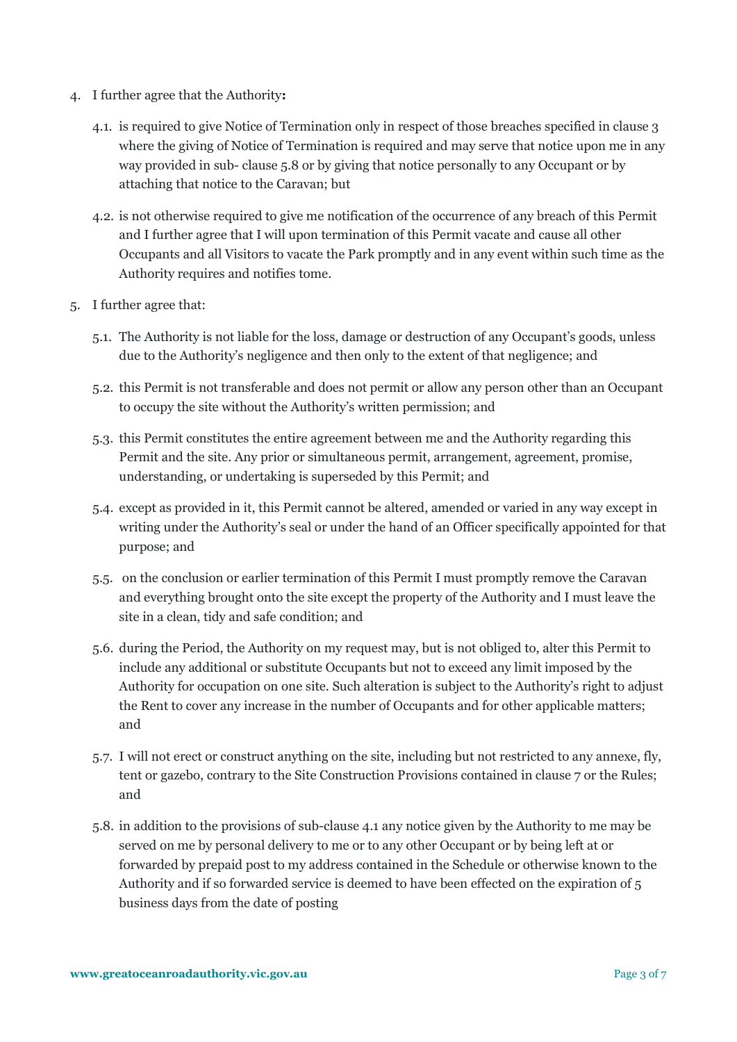- 4. I further agree that the Authority**:** 
	- 4.1. is required to give Notice of Termination only in respect of those breaches specified in clause 3 where the giving of Notice of Termination is required and may serve that notice upon me in any way provided in sub- clause 5.8 or by giving that notice personally to any Occupant or by attaching that notice to the Caravan; but
	- 4.2. is not otherwise required to give me notification of the occurrence of any breach of this Permit and I further agree that I will upon termination of this Permit vacate and cause all other Occupants and all Visitors to vacate the Park promptly and in any event within such time as the Authority requires and notifies tome.
- 5. I further agree that:
	- 5.1. The Authority is not liable for the loss, damage or destruction of any Occupant's goods, unless due to the Authority's negligence and then only to the extent of that negligence; and
	- 5.2. this Permit is not transferable and does not permit or allow any person other than an Occupant to occupy the site without the Authority's written permission; and
	- 5.3. this Permit constitutes the entire agreement between me and the Authority regarding this Permit and the site. Any prior or simultaneous permit, arrangement, agreement, promise, understanding, or undertaking is superseded by this Permit; and
	- 5.4. except as provided in it, this Permit cannot be altered, amended or varied in any way except in writing under the Authority's seal or under the hand of an Officer specifically appointed for that purpose; and
	- 5.5. on the conclusion or earlier termination of this Permit I must promptly remove the Caravan and everything brought onto the site except the property of the Authority and I must leave the site in a clean, tidy and safe condition; and
	- 5.6. during the Period, the Authority on my request may, but is not obliged to, alter this Permit to include any additional or substitute Occupants but not to exceed any limit imposed by the Authority for occupation on one site. Such alteration is subject to the Authority's right to adjust the Rent to cover any increase in the number of Occupants and for other applicable matters; and
	- 5.7. I will not erect or construct anything on the site, including but not restricted to any annexe, fly, tent or gazebo, contrary to the Site Construction Provisions contained in clause 7 or the Rules; and
	- 5.8. in addition to the provisions of sub-clause 4.1 any notice given by the Authority to me may be served on me by personal delivery to me or to any other Occupant or by being left at or forwarded by prepaid post to my address contained in the Schedule or otherwise known to the Authority and if so forwarded service is deemed to have been effected on the expiration of 5 business days from the date of posting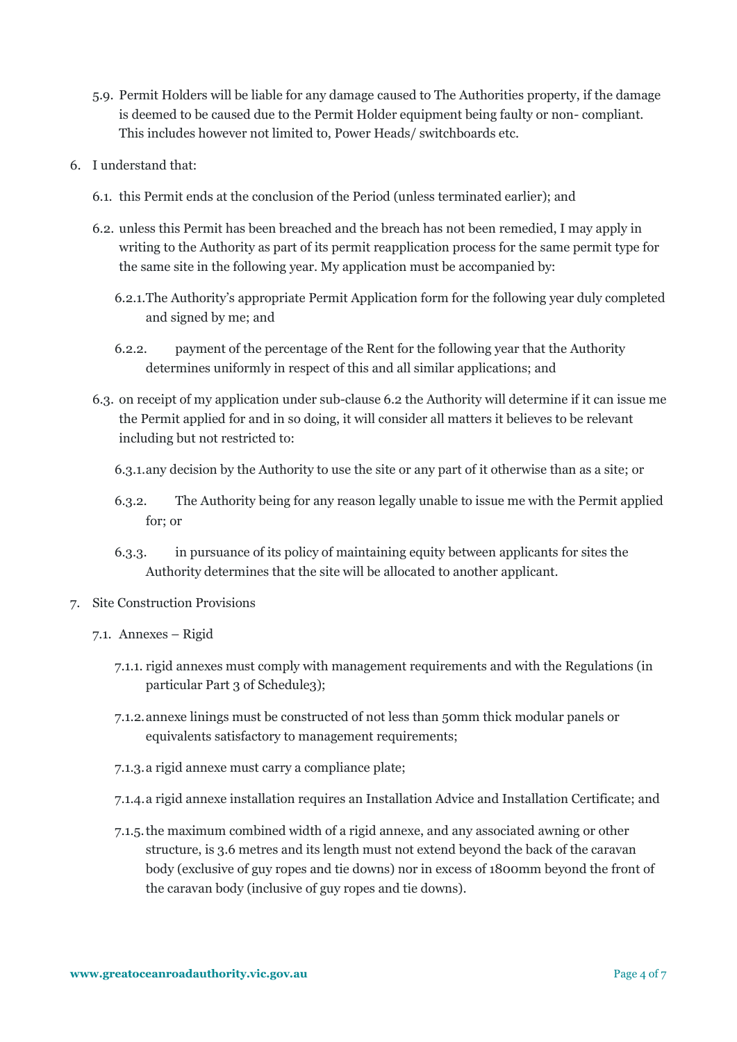- 5.9. Permit Holders will be liable for any damage caused to The Authorities property, if the damage is deemed to be caused due to the Permit Holder equipment being faulty or non- compliant. This includes however not limited to, Power Heads/ switchboards etc.
- 6. I understand that:
	- 6.1. this Permit ends at the conclusion of the Period (unless terminated earlier); and
	- 6.2. unless this Permit has been breached and the breach has not been remedied, I may apply in writing to the Authority as part of its permit reapplication process for the same permit type for the same site in the following year. My application must be accompanied by:
		- 6.2.1.The Authority's appropriate Permit Application form for the following year duly completed and signed by me; and
		- 6.2.2. payment of the percentage of the Rent for the following year that the Authority determines uniformly in respect of this and all similar applications; and
	- 6.3. on receipt of my application under sub-clause 6.2 the Authority will determine if it can issue me the Permit applied for and in so doing, it will consider all matters it believes to be relevant including but not restricted to:
		- 6.3.1.any decision by the Authority to use the site or any part of it otherwise than as a site; or
		- 6.3.2. The Authority being for any reason legally unable to issue me with the Permit applied for; or
		- 6.3.3. in pursuance of its policy of maintaining equity between applicants for sites the Authority determines that the site will be allocated to another applicant.
- 7. Site Construction Provisions
	- 7.1. Annexes Rigid
		- 7.1.1. rigid annexes must comply with management requirements and with the Regulations (in particular Part 3 of Schedule3);
		- 7.1.2.annexe linings must be constructed of not less than 50mm thick modular panels or equivalents satisfactory to management requirements;
		- 7.1.3.a rigid annexe must carry a compliance plate;
		- 7.1.4.a rigid annexe installation requires an Installation Advice and Installation Certificate; and
		- 7.1.5.the maximum combined width of a rigid annexe, and any associated awning or other structure, is 3.6 metres and its length must not extend beyond the back of the caravan body (exclusive of guy ropes and tie downs) nor in excess of 1800mm beyond the front of the caravan body (inclusive of guy ropes and tie downs).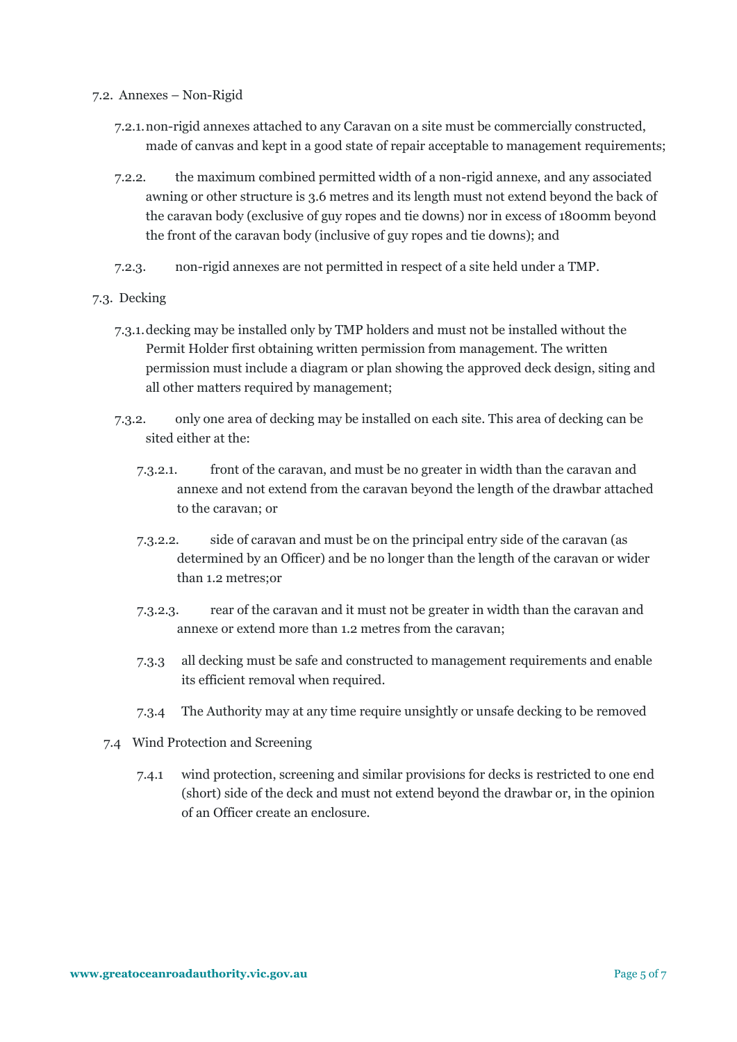## 7.2. Annexes – Non-Rigid

- 7.2.1.non-rigid annexes attached to any Caravan on a site must be commercially constructed, made of canvas and kept in a good state of repair acceptable to management requirements;
- 7.2.2. the maximum combined permitted width of a non-rigid annexe, and any associated awning or other structure is 3.6 metres and its length must not extend beyond the back of the caravan body (exclusive of guy ropes and tie downs) nor in excess of 1800mm beyond the front of the caravan body (inclusive of guy ropes and tie downs); and
- 7.2.3. non-rigid annexes are not permitted in respect of a site held under a TMP.

#### 7.3. Decking

- 7.3.1.decking may be installed only by TMP holders and must not be installed without the Permit Holder first obtaining written permission from management. The written permission must include a diagram or plan showing the approved deck design, siting and all other matters required by management;
- 7.3.2. only one area of decking may be installed on each site. This area of decking can be sited either at the:
	- 7.3.2.1. front of the caravan, and must be no greater in width than the caravan and annexe and not extend from the caravan beyond the length of the drawbar attached to the caravan; or
	- 7.3.2.2. side of caravan and must be on the principal entry side of the caravan (as determined by an Officer) and be no longer than the length of the caravan or wider than 1.2 metres;or
	- 7.3.2.3. rear of the caravan and it must not be greater in width than the caravan and annexe or extend more than 1.2 metres from the caravan;
	- 7.3.3 all decking must be safe and constructed to management requirements and enable its efficient removal when required.
	- 7.3.4 The Authority may at any time require unsightly or unsafe decking to be removed
- 7.4 Wind Protection and Screening
	- 7.4.1 wind protection, screening and similar provisions for decks is restricted to one end (short) side of the deck and must not extend beyond the drawbar or, in the opinion of an Officer create an enclosure.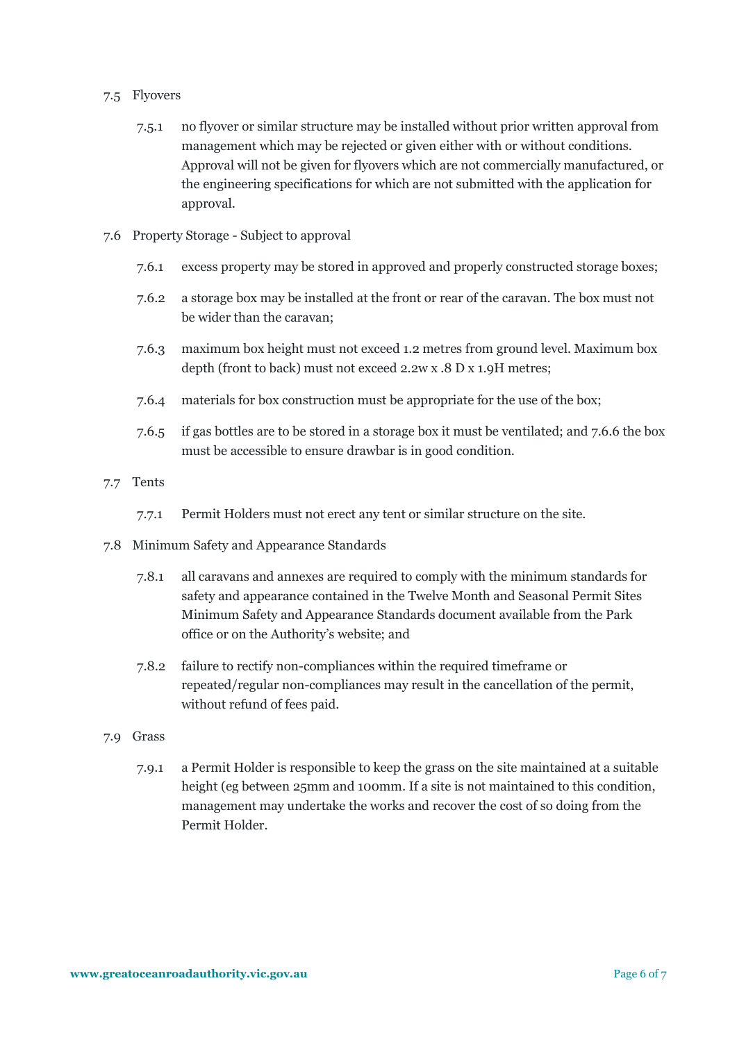## 7.5 Flyovers

- 7.5.1 no flyover or similar structure may be installed without prior written approval from management which may be rejected or given either with or without conditions. Approval will not be given for flyovers which are not commercially manufactured, or the engineering specifications for which are not submitted with the application for approval.
- 7.6 Property Storage Subject to approval
	- 7.6.1 excess property may be stored in approved and properly constructed storage boxes;
	- 7.6.2 a storage box may be installed at the front or rear of the caravan. The box must not be wider than the caravan;
	- 7.6.3 maximum box height must not exceed 1.2 metres from ground level. Maximum box depth (front to back) must not exceed 2.2w x .8 D x 1.9H metres;
	- 7.6.4 materials for box construction must be appropriate for the use of the box;
	- 7.6.5 if gas bottles are to be stored in a storage box it must be ventilated; and 7.6.6 the box must be accessible to ensure drawbar is in good condition.
- 7.7 Tents
	- 7.7.1 Permit Holders must not erect any tent or similar structure on the site.
- 7.8 Minimum Safety and Appearance Standards
	- 7.8.1 all caravans and annexes are required to comply with the minimum standards for safety and appearance contained in the Twelve Month and Seasonal Permit Sites Minimum Safety and Appearance Standards document available from the Park office or on the Authority's website; and
	- 7.8.2 failure to rectify non-compliances within the required timeframe or repeated/regular non-compliances may result in the cancellation of the permit, without refund of fees paid.
- 7.9 Grass
	- 7.9.1 a Permit Holder is responsible to keep the grass on the site maintained at a suitable height (eg between 25mm and 100mm. If a site is not maintained to this condition, management may undertake the works and recover the cost of so doing from the Permit Holder.